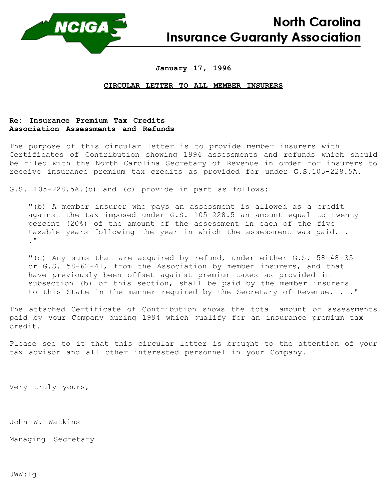

**North Carolina Insurance Guaranty Association** 

## **January 17, 1996**

## **CIRCULAR LETTER TO ALL MEMBER INSURERS**

## **Re: Insurance Premium Tax Credits Association Assessments and Refunds**

The purpose of this circular letter is to provide member insurers with Certificates of Contribution showing 1994 assessments and refunds which should be filed with the North Carolina Secretary of Revenue in order for insurers to receive insurance premium tax credits as provided for under G.S.105-228.5A.

G.S. 105-228.5A.(b) and (c) provide in part as follows:

"(b) A member insurer who pays an assessment is allowed as a credit against the tax imposed under G.S. 105-228.5 an amount equal to twenty percent (20%) of the amount of the assessment in each of the five taxable years following the year in which the assessment was paid. . ."

"(c) Any sums that are acquired by refund, under either G.S. 58-48-35 or G.S. 58-62-41, from the Association by member insurers, and that have previously been offset against premium taxes as provided in subsection (b) of this section, shall be paid by the member insurers to this State in the manner required by the Secretary of Revenue. . ."

The attached Certificate of Contribution shows the total amount of assessments paid by your Company during 1994 which qualify for an insurance premium tax credit.

Please see to it that this circular letter is brought to the attention of your tax advisor and all other interested personnel in your Company.

Very truly yours,

John W. Watkins

Managing Secretary

JWW:lg

 $\overline{a}$